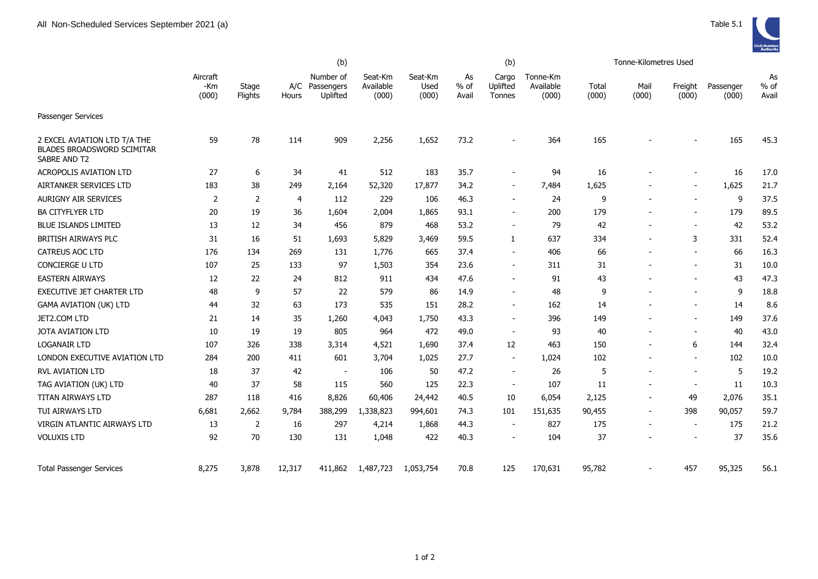

|                                                                                          | (b)                      |                  |                |                                         |                               |                          | (b)                   |                             |                                | Tonne-Kilometres Used |                          |                          |                    |                       |
|------------------------------------------------------------------------------------------|--------------------------|------------------|----------------|-----------------------------------------|-------------------------------|--------------------------|-----------------------|-----------------------------|--------------------------------|-----------------------|--------------------------|--------------------------|--------------------|-----------------------|
|                                                                                          | Aircraft<br>-Km<br>(000) | Stage<br>Flights | Hours          | Number of<br>A/C Passengers<br>Uplifted | Seat-Km<br>Available<br>(000) | Seat-Km<br>Used<br>(000) | As<br>$%$ of<br>Avail | Cargo<br>Uplifted<br>Tonnes | Tonne-Km<br>Available<br>(000) | Total<br>(000)        | Mail<br>(000)            | Freight<br>(000)         | Passenger<br>(000) | As<br>$%$ of<br>Avail |
| Passenger Services                                                                       |                          |                  |                |                                         |                               |                          |                       |                             |                                |                       |                          |                          |                    |                       |
| 2 EXCEL AVIATION LTD T/A THE<br><b>BLADES BROADSWORD SCIMITAR</b><br><b>SABRE AND T2</b> | 59                       | 78               | 114            | 909                                     | 2,256                         | 1,652                    | 73.2                  |                             | 364                            | 165                   |                          |                          | 165                | 45.3                  |
| <b>ACROPOLIS AVIATION LTD</b>                                                            | 27                       | 6                | 34             | 41                                      | 512                           | 183                      | 35.7                  |                             | 94                             | 16                    |                          |                          | 16                 | 17.0                  |
| AIRTANKER SERVICES LTD                                                                   | 183                      | 38               | 249            | 2,164                                   | 52,320                        | 17,877                   | 34.2                  | $\sim$                      | 7,484                          | 1,625                 |                          | $\overline{\phantom{a}}$ | 1,625              | 21.7                  |
| <b>AURIGNY AIR SERVICES</b>                                                              | $\overline{2}$           | 2                | $\overline{4}$ | 112                                     | 229                           | 106                      | 46.3                  |                             | 24                             | 9                     |                          |                          | 9                  | 37.5                  |
| <b>BA CITYFLYER LTD</b>                                                                  | 20                       | 19               | 36             | 1,604                                   | 2,004                         | 1,865                    | 93.1                  |                             | 200                            | 179                   | $\overline{a}$           | $\overline{\phantom{a}}$ | 179                | 89.5                  |
| <b>BLUE ISLANDS LIMITED</b>                                                              | 13                       | 12               | 34             | 456                                     | 879                           | 468                      | 53.2                  |                             | 79                             | 42                    | $\blacksquare$           | $\blacksquare$           | 42                 | 53.2                  |
| BRITISH AIRWAYS PLC                                                                      | 31                       | 16               | 51             | 1,693                                   | 5,829                         | 3,469                    | 59.5                  | 1                           | 637                            | 334                   | $\overline{a}$           | 3                        | 331                | 52.4                  |
| <b>CATREUS AOC LTD</b>                                                                   | 176                      | 134              | 269            | 131                                     | 1,776                         | 665                      | 37.4                  |                             | 406                            | 66                    | $\overline{a}$           | $\blacksquare$           | 66                 | 16.3                  |
| <b>CONCIERGE U LTD</b>                                                                   | 107                      | 25               | 133            | 97                                      | 1,503                         | 354                      | 23.6                  |                             | 311                            | 31                    |                          |                          | 31                 | 10.0                  |
| <b>EASTERN AIRWAYS</b>                                                                   | 12                       | 22               | 24             | 812                                     | 911                           | 434                      | 47.6                  | $\sim$                      | 91                             | 43                    |                          | $\overline{\phantom{a}}$ | 43                 | 47.3                  |
| <b>EXECUTIVE JET CHARTER LTD</b>                                                         | 48                       | 9                | 57             | 22                                      | 579                           | 86                       | 14.9                  |                             | 48                             | 9                     |                          | $\overline{\phantom{a}}$ | 9                  | 18.8                  |
| <b>GAMA AVIATION (UK) LTD</b>                                                            | 44                       | 32               | 63             | 173                                     | 535                           | 151                      | 28.2                  |                             | 162                            | 14                    |                          | $\overline{\phantom{a}}$ | 14                 | 8.6                   |
| JET2.COM LTD                                                                             | 21                       | 14               | 35             | 1,260                                   | 4,043                         | 1,750                    | 43.3                  |                             | 396                            | 149                   |                          |                          | 149                | 37.6                  |
| JOTA AVIATION LTD                                                                        | 10                       | 19               | 19             | 805                                     | 964                           | 472                      | 49.0                  | $\overline{\phantom{a}}$    | 93                             | 40                    |                          |                          | 40                 | 43.0                  |
| <b>LOGANAIR LTD</b>                                                                      | 107                      | 326              | 338            | 3,314                                   | 4,521                         | 1,690                    | 37.4                  | 12                          | 463                            | 150                   | $\blacksquare$           | 6                        | 144                | 32.4                  |
| LONDON EXECUTIVE AVIATION LTD                                                            | 284                      | 200              | 411            | 601                                     | 3,704                         | 1,025                    | 27.7                  | $\overline{\phantom{a}}$    | 1,024                          | 102                   | $\overline{a}$           | $\blacksquare$           | 102                | 10.0                  |
| <b>RVL AVIATION LTD</b>                                                                  | 18                       | 37               | 42             | $\overline{\phantom{a}}$                | 106                           | 50                       | 47.2                  |                             | 26                             | 5                     | $\overline{a}$           | $\overline{\phantom{a}}$ | 5                  | 19.2                  |
| TAG AVIATION (UK) LTD                                                                    | 40                       | 37               | 58             | 115                                     | 560                           | 125                      | 22.3                  | $\overline{\phantom{a}}$    | 107                            | 11                    | $\overline{\phantom{a}}$ | $\overline{\phantom{a}}$ | 11                 | 10.3                  |
| TITAN AIRWAYS LTD                                                                        | 287                      | 118              | 416            | 8,826                                   | 60,406                        | 24,442                   | 40.5                  | 10                          | 6,054                          | 2,125                 | $\blacksquare$           | 49                       | 2,076              | 35.1                  |
| TUI AIRWAYS LTD                                                                          | 6,681                    | 2,662            | 9,784          | 388,299                                 | 1,338,823                     | 994,601                  | 74.3                  | 101                         | 151,635                        | 90,455                | $\overline{\phantom{a}}$ | 398                      | 90,057             | 59.7                  |
| VIRGIN ATLANTIC AIRWAYS LTD                                                              | 13                       | 2                | 16             | 297                                     | 4,214                         | 1,868                    | 44.3                  |                             | 827                            | 175                   | $\overline{a}$           | $\overline{\phantom{a}}$ | 175                | 21.2                  |
| <b>VOLUXIS LTD</b>                                                                       | 92                       | 70               | 130            | 131                                     | 1,048                         | 422                      | 40.3                  |                             | 104                            | 37                    |                          |                          | 37                 | 35.6                  |
| <b>Total Passenger Services</b>                                                          | 8,275                    | 3,878            | 12,317         | 411,862                                 | 1,487,723                     | 1,053,754                | 70.8                  | 125                         | 170,631                        | 95,782                |                          | 457                      | 95,325             | 56.1                  |